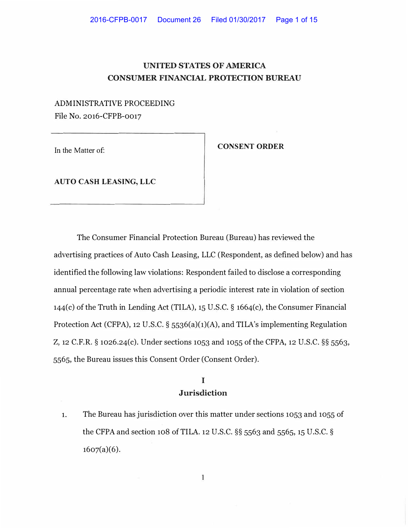# **UNITED STATES OF AMERICA CONSUMER FINANCIAL PROTECTION BUREAU**

ADMINISTRATIVE PROCEEDING File No. 2016-CFPB-0017

In the Matter of:

**CONSENT ORDER** 

**AUTO CASH LEASING, LLC** 

The Consumer Financial Protection Bureau (Bureau) has reviewed the advertising practices of Auto Cash Leasing, LLC (Respondent, as defined below) and has identified the following law violations: Respondent failed to disclose a corresponding annual percentage rate when advertising a periodic interest rate in violation of section 144(c) of the Truth in Lending Act (TILA), 15 U.S.C. § 1664(c), the Consumer Financial Protection Act (CFPA), 12 U.S.C. § 5536(a)(1)(A), and TILA's implementing Regulation Z, 12 C.F.R. § 1026.24(c). Under sections 1053 and 1055 of the CFPA, 12 U.S.C. §§ 5563, 5565, the Bureau issues this Consent Order (Consent Order).

### **I Jurisdiction**

1. The Bureau has jurisdiction over this matter under sections 1053 and 1055 of the CFPA and section 108 ofTILA. 12 U.S.C. §§ 5563 and 5565, 15 U.S.C. §  $1607(a)(6)$ .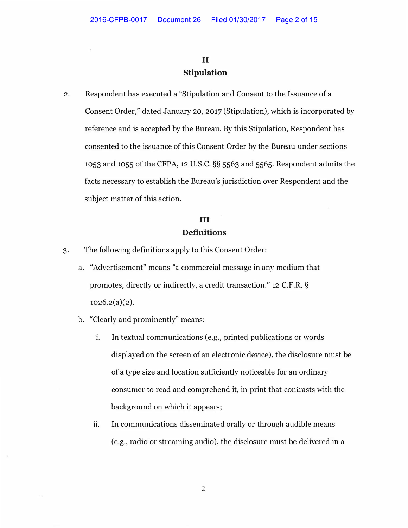### **II Stipulation**

2. Respondent has executed a "Stipulation and Consent to the Issuance of a Consent Order," dated January 20, 2017 (Stipulation), which is incorporated by reference and is accepted by the Bureau. By this Stipulation, Respondent has consented to the issuance of this Consent Order by the Bureau under sections 1053 and 1055 of the CFPA, 12 U.S.C. §§ 5563 and 5565. Respondent admits the facts necessary to establish the Bureau's jurisdiction over Respondent and the subject matter of this action.

### **III Definitions**

- 3. The following definitions apply to this Consent Order:
	- a. "Advertisement" means "a commercial message in any medium that promotes, directly or indirectly, a credit transaction." 12 C.F.R. §  $1026.2(a)(2)$ .
	- b. "Clearly and prominently" means:
		- **1.** In textual communications (e.g., printed publications or words displayed on the screen of an electronic device), the disclosure must be of a type size and location sufficiently noticeable for an ordinary consumer to read and comprehend it, in print that contrasts with the background on which it appears;
		- **11.** In communications disseminated orally or through audible means (e.g., radio or streaming audio), the disclosure must be delivered in a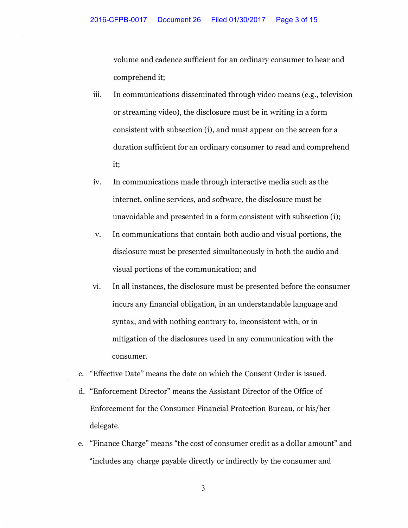volume and cadence sufficient for an ordinary consumer to hear and comprehend it;

- iii. In communications disseminated through video means (e.g., television or streaming video), the disclosure must be in writing in a form consistent with subsection (i), and must appear on the screen for a duration sufficient for an ordinary consumer to read and comprehend it;
- 1v. In communications made through interactive media such as the internet, online services, and software, the disclosure must be unavoidable and presented in a form consistent with subsection (i);
- v. In communications that contain both audio and visual portions, the disclosure must be presented simultaneously in both the audio and visual portions of the communication; and
- VI. In all instances, the disclosure must be presented before the consumer incurs any financial obligation, in an understandable language and syntax, and with nothing contrary to, inconsistent with, or in mitigation of the disclosures used in any communication with the consumer.
- c. "Effective Date" means the date on which the Consent Order is issued.
- d. "Enforcement Director" means the Assistant Director of the Office of Enforcement for the Consumer Financial Protection Bureau, or his/her delegate.
- e. "Finance Charge" means "the cost of consumer credit as a dollar amount" and "includes any charge payable directly or indirectly by the consumer and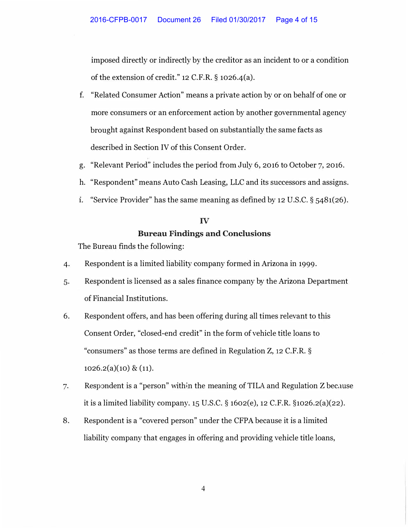imposed directly or indirectly by the creditor as an incident to or a condition of the extension of credit." 12 C.F.R. § 1026,4(a).

- f. "Related Consumer Action" means a private action by or on behalf of one or more consumers or an enforcement action by another governmental agency brought against Respondent based on substantially the same facts as described in Section IV of this Consent Order.
- g. "Relevant Period" includes the period from July 6, 2016 to October 7, 2016.
- h. "Respondent" means Auto Cash Leasing, LLC and its successors and assigns.
- **1.** "Service Provider" has the same meaning as defined by 12 U.S.C. § 5481(26).

# IV **Bureau Findings and Conclusions**

The Bureau finds the following:

- 4. Respondent is a limited liability company formed in Arizona in 1999.
- 5. Respondent is licensed as a sales finance company by the Arizona Department of Financial Institutions.
- 6. Respondent offers, and has been offering during all times relevant to this Consent Order, "closed-end credit" in the form of vehicle title loans to "consumers" as those terms are defined in Regulation Z, 12 C.F.R. §  $1026.2(a)(10) \& (11).$
- 7. Respondent is a "person" within the meaning of TILA and Regulation Z because it is a limited liability company. 15 U.S.C. § 1602(e), 12 C.F.R. §1026.2(a)(22).
- 8. Respondent is a "covered person" under the CFPA because it is a limited liability company that engages in offering and providing vehicle title loans,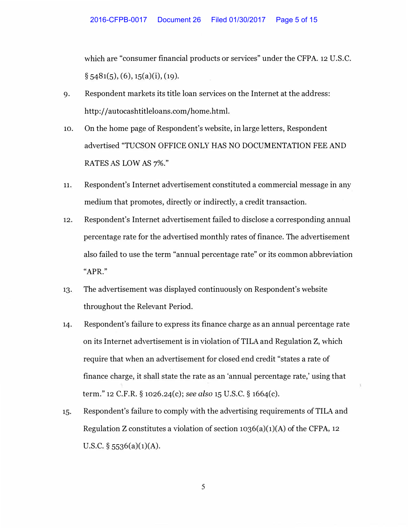which are "consumer financial products or services" under the CFPA. 12 U.S.C.  $\S$  5481(5), (6), 15(a)(i), (19).

- 9. Respondent markets its title loan services on the Internet at the address: http://autocashtitleloans.com/home.html.
- 10. On the home page of Respondent's website, in large letters, Respondent advertised "TUCSON OFFICE ONLY HAS NO DOCUMENTATION FEE AND RATES AS LOW AS 7%."
- 11. Respondent's Internet advertisement constituted a commercial message in any medium that promotes, directly or indirectly, a credit transaction.
- 12. Respondent's Internet advertisement failed to disclose a corresponding annual percentage rate for the advertised monthly rates of finance. The advertisement also failed to use the term "annual percentage rate" or its common abbreviation "APR."
- 13. The advertisement was displayed continuously on Respondent's website throughout the Relevant Period.
- 14. Respondent's failure to express its finance charge as an annual percentage rate on its Internet advertisement is in violation of TILA and Regulation Z, which require that when an advertisement for closed end credit "states a rate of finance charge, it shall state the rate as an 'annual percentage rate,' using that term." 12 C.F.R. § 1026.24(c); *see also* 15 U.S.C. § 1664(c).
- 15. Respondent's failure to comply with the advertising requirements of TILA and Regulation Z constitutes a violation of section 1036(a)(1)(A) of the CFPA, 12 U.S.C.  $\S$  5536(a)(1)(A).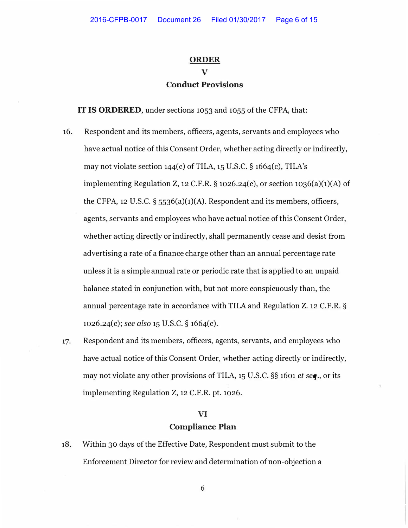# **ORDER V Conduct Provisions**

**IT IS ORDERED,** under sections 1053 and 1055 of the CFPA, that:

- 16. Respondent and its members, officers, agents, servants and employees who have actual notice of this Consent Order, whether acting directly or indirectly, may not violate section  $144(c)$  of TILA,  $15$  U.S.C. §  $1664(c)$ , TILA's implementing Regulation Z, 12 C.F.R.  $\S$  1026.24(c), or section 1036(a)(1)(A) of the CFPA, 12 U.S.C. § 5536(a)(1)(A). Respondent and its members, officers, agents, servants and employees who have actual notice of this Consent Order, whether acting directly or indirectly, shall permanently cease and desist from advertising a rate of a finance charge other than an annual percentage rate unless it is a simple annual rate or periodic rate that is applied to an unpaid balance stated in conjunction with, but not more conspicuously than, the annual percentage rate in accordance with TILA and Regulation Z. 12 C.F.R. § 1026.24(c); *see also* 15 U.S.C. § 1664(c).
- 17. Respondent and its members, officers, agents, servants, and employees who have actual notice of this Consent Order, whether acting directly or indirectly, may not violate any other provisions of TILA, 15 U.S.C. §§ 1601 *et seq.,* or its implementing Regulation Z, 12 C.F.R. pt. 1026.

#### **VI**

#### **Compliance Plan**

18. Within 30 days of the Effective Date, Respondent must submit to the Enforcement Director for review and determination of non-objection a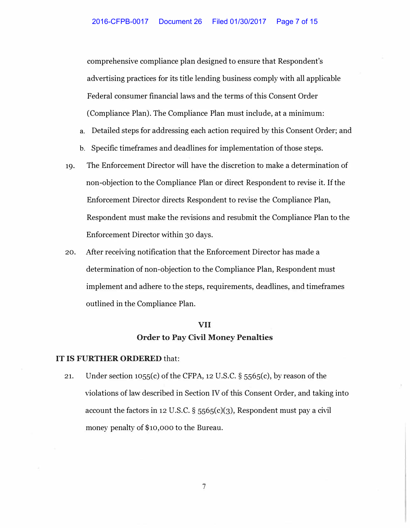comprehensive compliance plan designed to ensure that Respondent's advertising practices for its title lending business comply with all applicable Federal consumer financial laws and the terms of this Consent Order (Compliance Plan). The Compliance Plan must include, at a minimum:

- a. Detailed steps for addressing each action required by this Consent Order; and
- b. Specific timeframes and deadlines for implementation of those steps.
- 19. The Enforcement Director will have the discretion to make a determination of non-objection to the Compliance Plan or direct Respondent to revise it. If the Enforcement Director directs Respondent to revise the Compliance Plan, Respondent must make the revisions and resubmit the Compliance Plan to the Enforcement Director within 30 days.
- 20. After receiving notification that the Enforcement Director has made a determination of non-objection to the Compliance Plan, Respondent must implement and adhere to the steps, requirements, deadlines, and timeframes outlined in the Compliance Plan.

# **VII Order to Pay Civil Money Penalties**

#### **IT IS FURTHER ORDERED** that:

21. Under section 1055(c) of the CFPA, 12 U.S.C. § 5565(c), by reason of the violations of law described in Section IV of this Consent Order, and taking into account the factors in 12 U.S.C. § 5565(c)(3), Respondent must pay a civil money penalty of \$10,000 to the Bureau.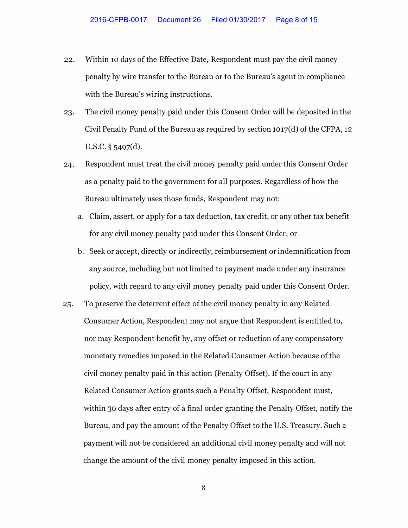- 22. Within 10 days of the Effective Date, Respondent must pay the civil money penalty by wire transfer to the Bureau or to the Bureau's agent in compliance with the Bureau's wiring instructions.
- 23. The civil money penalty paid under this Consent Order will be deposited in the Civil Penalty Fund of the Bureau as required by section  $1017(d)$  of the CFPA, 12 u.s.c. § 5497(d).
- 24. Respondent must treat the civil money penalty paid under this Consent Order as a penalty paid to the government for all purposes. Regardless of how the Bureau ultimately uses those funds, Respondent may not:
	- a. Claim, assert, or apply for a tax deduction, tax credit, or any other tax benefit for any civil money penalty paid under this Consent Order; or
	- b. Seek or accept, directly or indirectly, reimbursement or indemnification from any source, including but not limited to payment made under any insurance policy, with regard to any civil money penalty paid under this Consent Order.
- 25. To preserve the deterrent effect of the civil money penalty in any Related Consumer Action, Respondent may not argue that Respondent is entitled to, nor may Respondent benefit by, any offset or reduction of any compensatory monetary remedies imposed in the Related Consumer Action because of the civil money penalty paid in this action (Penalty Offset). If the court in any Related Consumer Action grants such a Penalty Offset, Respondent must, within 30 days after entry of a final order granting the Penalty Offset, notify the Bureau, and pay the amount of the Penalty Offset to the U.S. Treasury. Such a payment will not be considered an additional civil money penalty and will not change the amount of the civil money penalty imposed in this action.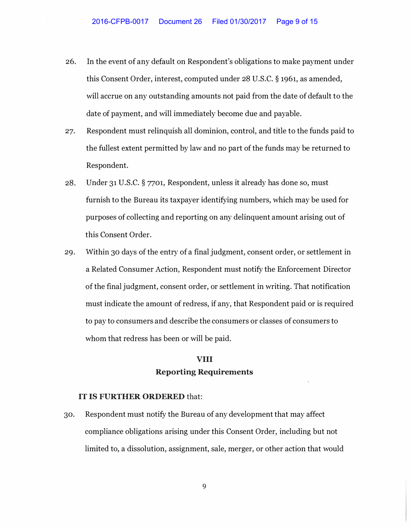- 26. In the event of any default on Respondent's obligations to make payment under this Consent Order, interest, computed under 28 U.S.C. § 1961, as amended, will accrue on any outstanding amounts not paid from the date of default to the date of payment, and will immediately become due and payable.
- 27. Respondent must relinquish all dominion, control, and title to the funds paid to the fullest extent permitted by law and no part of the funds may be returned to Respondent.
- 28. Under 31 U.S.C. § 7701, Respondent, unless it already has done so, must furnish to the Bureau its taxpayer identifying numbers, which may be used for purposes of collecting and reporting on any delinquent amount arising out of this Consent Order.
- 29. Within 30 days of the entry of a final judgment, consent order, or settlement in a Related Consumer Action, Respondent must notify the Enforcement Director of the final judgment, consent order, or settlement in writing. That notification must indicate the amount of redress, if any, that Respondent paid or is required to pay to consumers and describe the consumers or classes of consumers to whom that redress has been or will be paid.

### **VIII Reporting Requirements**

#### **IT IS FURTHER ORDERED** that:

30. Respondent must notify the Bureau of any development that may affect compliance obligations arising under this Consent Order, including but not limited to, a dissolution, assignment, sale, merger, or other action that would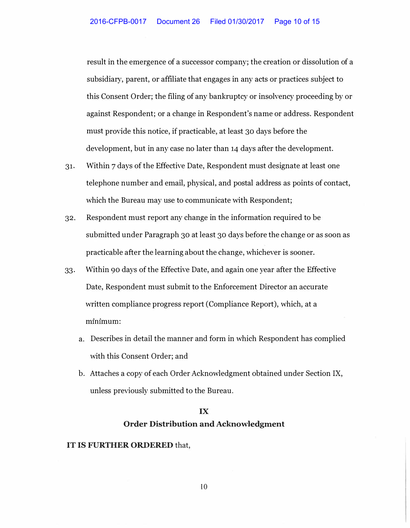result in the emergence of a successor company; the creation or dissolution of a subsidiary, parent, or affiliate that engages in any acts or practices subject to this Consent Order; the filing of any bankruptcy or insolvency proceeding by or against Respondent; or a change in Respondent's name or address. Respondent must provide this notice, if practicable, at least 30 days before the development, but in any case no later than 14 days after the development.

- 31. Within 7 days of the Effective Date, Respondent must designate at least one telephone number and email, physical, and postal address as points of contact, which the Bureau may use to communicate with Respondent;
- 32. Respondent must report any change in the information required to be submitted under Paragraph 30 at least 30 days before the change or as soon as practicable after the learning about the change, whichever is sooner.
- 33. Within 90 days of the Effective Date, and again one year after the Effective Date, Respondent must submit to the Enforcement Director an accurate written compliance progress report (Compliance Report), which, at a minimum:
	- a. Describes in detail the manner and form in which Respondent has complied with this Consent Order; and
	- b. Attaches a copy of each Order Acknowledgment obtained under Section IX, unless previously submitted to the Bureau.

# IX

### **Order Distribution and Acknowledgment**

#### IT IS FURTHER ORDERED that,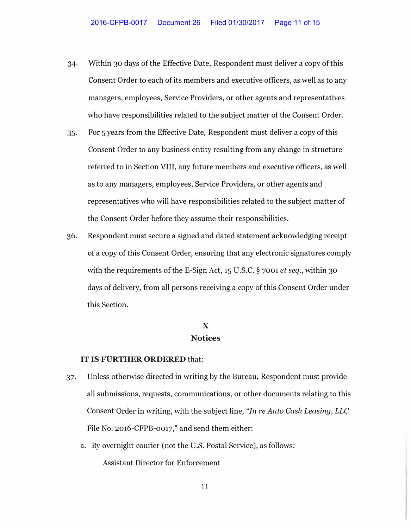- 34. Within 30 days of the Effective Date, Respondent must deliver a copy of this Consent Order to each of its members and executive officers, as well as to any managers, employees, Service Providers, or other agents and representatives who have responsibilities related to the subject matter of the Consent Order.
- 35. For 5 years from the Effective Date, Respondent must deliver a copy of this Consent Order to any business entity resulting from any change in structure referred to in Section VIII, any future members and executive officers, as well as to any managers, employees, Service Providers, or other agents and representatives who will have responsibilities related to the subject matter of the Consent Order before they assume their responsibilities.
- 36. Respondent must secure a signed and dated statement acknowledging receipt of a copy of this Consent Order, ensuring that any electronic signatures comply with the requirements of the E-Sign Act, 15 U.S.C. § 7001 *et seq.,* within 30 days of delivery, from all persons receiving a copy of this Consent Order under this Section.

### **X Notices**

#### **IT IS FURTHER ORDERED** that:

- 37. Unless otherwise directed in writing by the Bureau, Respondent must provide all submissions, requests, communications, or other documents relating to this Consent Order in writing, with the subject line, *"In re Auto Cash Leasing, LLC* File No. 2016-CFPB-0017," and send them either:
	- a. By overnight courier (not the U.S. Postal Service), as follows: Assistant Director for Enforcement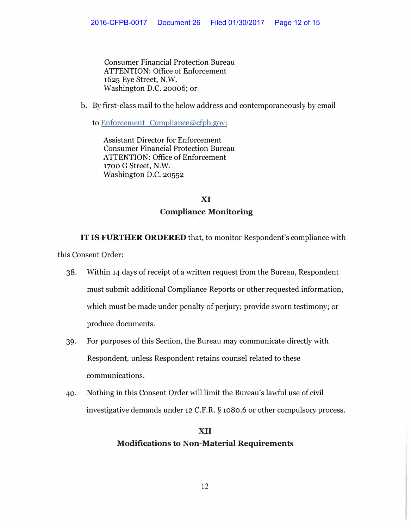Consumer Financial Protection Bureau ATTENTION: Office of Enforcement 1625 Eye Street, N.W. Washington D.C. 20006; or

b. By first-class mail to the below address and contemporaneously by email

to Enforcement Compliance@cfpb.gov:

Assistant Director for Enforcement Consumer Financial Protection Bureau ATTENTION: Office of Enforcement 1700 G Street, N.W. Washington D.C. 20552

# **XI Compliance Monitoring**

IT IS FURTHER ORDERED that, to monitor Respondent's compliance with

this Consent Order:

- 38. Within 14 days of receipt of a written request from the Bureau, Respondent must submit additional Compliance Reports or other requested information, which must be made under penalty of perjury; provide sworn testimony; or produce documents.
- 39. For purposes of this Section, the Bureau may communicate directly with Respondent, unless Respondent retains counsel related to these communications.
- 40. Nothing in this Consent Order will limit the Bureau's lawful use of civil investigative demands under 12 C.F.R. § 1080.6 or other compulsory process.

# **XII Modifications to Non-Material Requirements**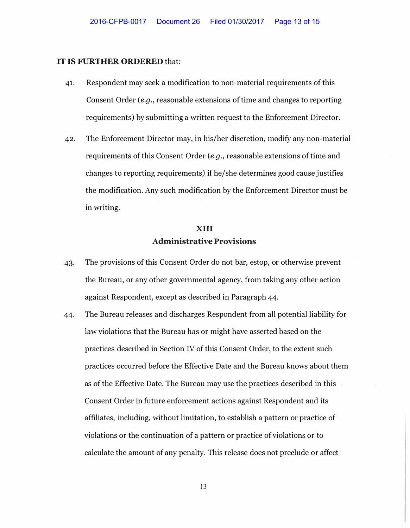#### IT IS FURTHER ORDERED that:

- 41. Respondent may seek a modification to non-material requirements of this Consent Order *(e.g.,* reasonable extensions of time and changes to reporting requirements) by submitting a written request to the Enforcement Director.
- 42. The Enforcement Director may, in his/her discretion, modify any non-material requirements of this Consent Order *(e.g.,* reasonable extensions of time and changes to reporting requirements) if he/she determines good cause justifies the modification. Any such modification by the Enforcement Director must be in writing.

# XIII **Administrative Provisions**

- 43. The provisions of this Consent Order do not bar, estop, or otherwise prevent the Bureau, or any other governmental agency, from taking any other action against Respondent, except as described in Paragraph 44.
- 44. The Bureau releases and discharges Respondent from all potential liability for law violations that the Bureau has or might have asserted based on the practices described in Section IV of this Consent Order, to the extent such practices occurred before the Effective Date and the Bureau knows about them as of the Effective Date. The Bureau may use the practices described in this Consent Order in future enforcement actions against Respondent and its affiliates, including, without limitation, to establish a pattern or practice of violations or the continuation of a pattern or practice of violations or to calculate the amount of any penalty. This release does not preclude or affect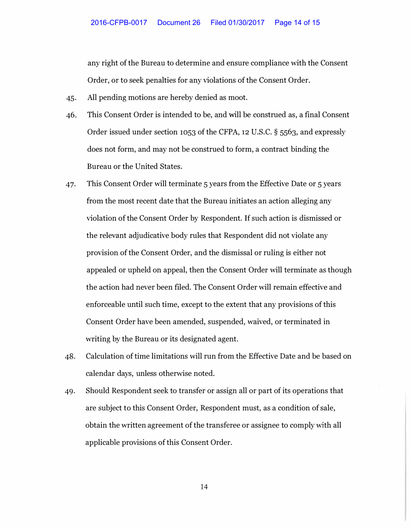any right of the Bureau to determine and ensure compliance with the Consent Order, or to seek penalties for any violations of the Consent Order.

- 45. All pending motions are hereby denied as moot.
- 46. This Consent Order is intended to be, and will be construed as, a final Consent Order issued under section 1053 of the CFPA, **12** U.S.C. § 5563, and expressly does not form, and may not be construed to form, a contract binding the Bureau or the United States.
- 47. This Consent Order will terminate 5 years from the Effective Date or 5 years from the most recent date that the Bureau initiates an action alleging any violation of the Consent Order by Respondent. If such action is dismissed or the relevant adjudicative body rules that Respondent did not violate any provision of the Consent Order, and the dismissal or ruling is either not appealed or upheld on appeal, then the Consent Order will terminate as though the action had never been filed. The Consent Order will remain effective and enforceable until such time, except to the extent that any provisions of this Consent Order have been amended, suspended, waived, or terminated in writing by the Bureau or its designated agent.
- 48. Calculation of time limitations will run from the Effective Date and be based on calendar days, unless otherwise noted.
- 49. Should Respondent seek to transfer or assign all or part of its operations that are subject to this Consent Order, Respondent must, as a condition of sale, obtain the written agreement of the transferee or assignee to comply with all applicable provisions of this Consent Order.